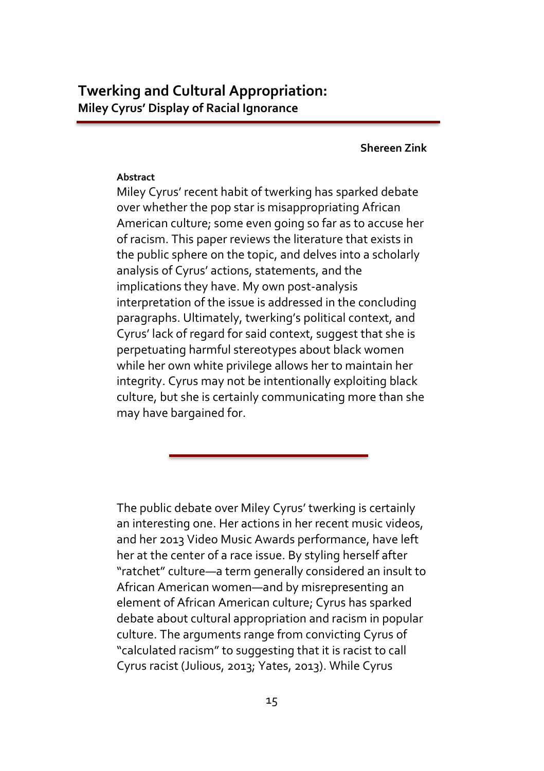**Shereen Zink**

# **Abstract**

Miley Cyrus' recent habit of twerking has sparked debate over whether the pop star is misappropriating African American culture; some even going so far as to accuse her of racism. This paper reviews the literature that exists in the public sphere on the topic, and delves into a scholarly analysis of Cyrus' actions, statements, and the implications they have. My own post-analysis interpretation of the issue is addressed in the concluding paragraphs. Ultimately, twerking's political context, and Cyrus' lack of regard for said context, suggest that she is perpetuating harmful stereotypes about black women while her own white privilege allows her to maintain her integrity. Cyrus may not be intentionally exploiting black culture, but she is certainly communicating more than she may have bargained for.

The public debate over Miley Cyrus' twerking is certainly an interesting one. Her actions in her recent music videos, and her 2013 Video Music Awards performance, have left her at the center of a race issue. By styling herself after "ratchet" culture—a term generally considered an insult to African American women—and by misrepresenting an element of African American culture; Cyrus has sparked debate about cultural appropriation and racism in popular culture. The arguments range from convicting Cyrus of "calculated racism" to suggesting that it is racist to call Cyrus racist (Julious, 2013; Yates, 2013). While Cyrus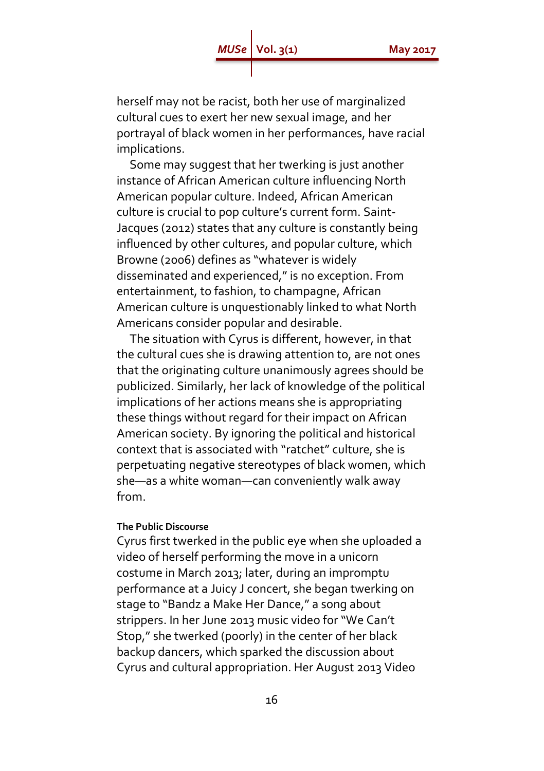herself may not be racist, both her use of marginalized cultural cues to exert her new sexual image, and her portrayal of black women in her performances, have racial implications.

 Some may suggest that her twerking is just another instance of African American culture influencing North American popular culture. Indeed, African American culture is crucial to pop culture's current form. Saint-Jacques (2012) states that any culture is constantly being influenced by other cultures, and popular culture, which Browne (2006) defines as "whatever is widely disseminated and experienced," is no exception. From entertainment, to fashion, to champagne, African American culture is unquestionably linked to what North Americans consider popular and desirable.

 The situation with Cyrus is different, however, in that the cultural cues she is drawing attention to, are not ones that the originating culture unanimously agrees should be publicized. Similarly, her lack of knowledge of the political implications of her actions means she is appropriating these things without regard for their impact on African American society. By ignoring the political and historical context that is associated with "ratchet" culture, she is perpetuating negative stereotypes of black women, which she—as a white woman—can conveniently walk away from.

# **The Public Discourse**

Cyrus first twerked in the public eye when she uploaded a video of herself performing the move in a unicorn costume in March 2013; later, during an impromptu performance at a Juicy J concert, she began twerking on stage to "Bandz a Make Her Dance," a song about strippers. In her June 2013 music video for "We Can't Stop," she twerked (poorly) in the center of her black backup dancers, which sparked the discussion about Cyrus and cultural appropriation. Her August 2013 Video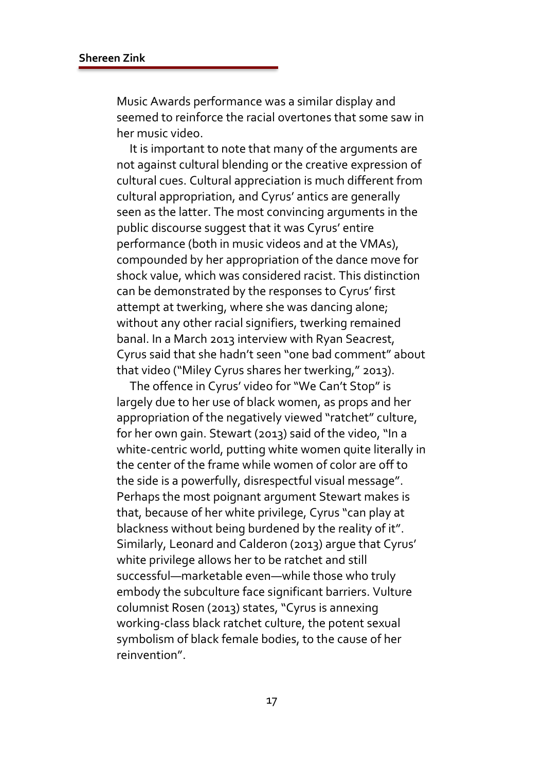Music Awards performance was a similar display and seemed to reinforce the racial overtones that some saw in her music video.

 It is important to note that many of the arguments are not against cultural blending or the creative expression of cultural cues. Cultural appreciation is much different from cultural appropriation, and Cyrus' antics are generally seen as the latter. The most convincing arguments in the public discourse suggest that it was Cyrus' entire performance (both in music videos and at the VMAs), compounded by her appropriation of the dance move for shock value, which was considered racist. This distinction can be demonstrated by the responses to Cyrus' first attempt at twerking, where she was dancing alone; without any other racial signifiers, twerking remained banal. In a March 2013 interview with Ryan Seacrest, Cyrus said that she hadn't seen "one bad comment" about that video ("Miley Cyrus shares her twerking," 2013).

 The offence in Cyrus' video for "We Can't Stop" is largely due to her use of black women, as props and her appropriation of the negatively viewed "ratchet" culture, for her own gain. Stewart (2013) said of the video, "In a white-centric world, putting white women quite literally in the center of the frame while women of color are off to the side is a powerfully, disrespectful visual message". Perhaps the most poignant argument Stewart makes is that, because of her white privilege, Cyrus "can play at blackness without being burdened by the reality of it". Similarly, Leonard and Calderon (2013) argue that Cyrus' white privilege allows her to be ratchet and still successful—marketable even—while those who truly embody the subculture face significant barriers. Vulture columnist Rosen (2013) states, "Cyrus is annexing working-class black ratchet culture, the potent sexual symbolism of black female bodies, to the cause of her reinvention".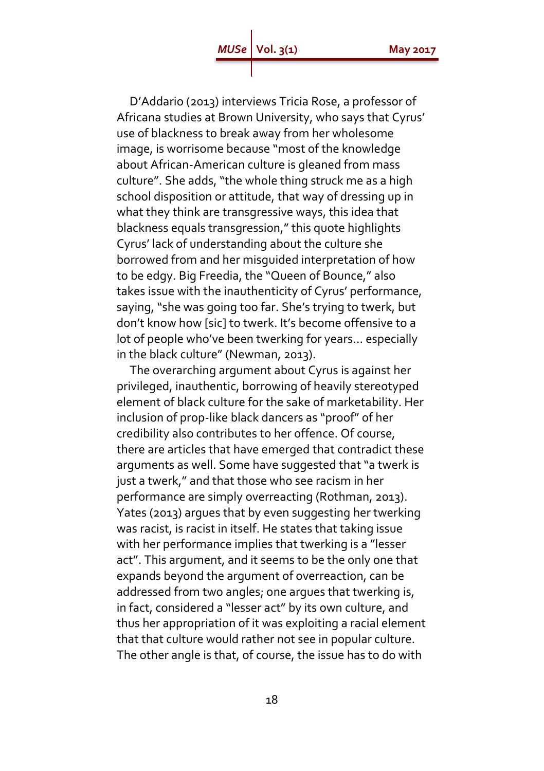D'Addario (2013) interviews Tricia Rose, a professor of Africana studies at Brown University, who says that Cyrus' use of blackness to break away from her wholesome image, is worrisome because "most of the knowledge about African-American culture is gleaned from mass culture". She adds, "the whole thing struck me as a high school disposition or attitude, that way of dressing up in what they think are transgressive ways, this idea that blackness equals transgression," this quote highlights Cyrus' lack of understanding about the culture she borrowed from and her misguided interpretation of how to be edgy. Big Freedia, the "Queen of Bounce," also takes issue with the inauthenticity of Cyrus' performance, saying, "she was going too far. She's trying to twerk, but don't know how [sic] to twerk. It's become offensive to a lot of people who've been twerking for years… especially in the black culture" (Newman, 2013).

 The overarching argument about Cyrus is against her privileged, inauthentic, borrowing of heavily stereotyped element of black culture for the sake of marketability. Her inclusion of prop-like black dancers as "proof" of her credibility also contributes to her offence. Of course, there are articles that have emerged that contradict these arguments as well. Some have suggested that "a twerk is just a twerk," and that those who see racism in her performance are simply overreacting (Rothman, 2013). Yates (2013) argues that by even suggesting her twerking was racist, is racist in itself. He states that taking issue with her performance implies that twerking is a "lesser act". This argument, and it seems to be the only one that expands beyond the argument of overreaction, can be addressed from two angles; one argues that twerking is, in fact, considered a "lesser act" by its own culture, and thus her appropriation of it was exploiting a racial element that that culture would rather not see in popular culture. The other angle is that, of course, the issue has to do with

18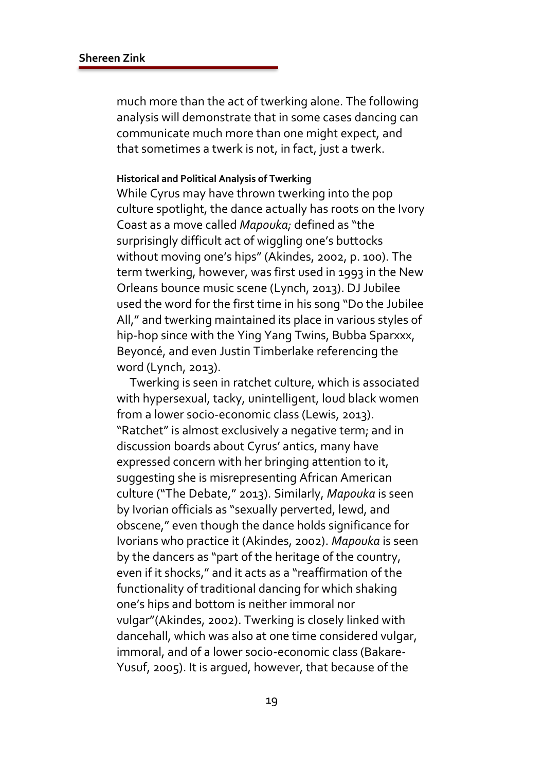much more than the act of twerking alone. The following analysis will demonstrate that in some cases dancing can communicate much more than one might expect, and that sometimes a twerk is not, in fact, just a twerk.

#### **Historical and Political Analysis of Twerking**

While Cyrus may have thrown twerking into the pop culture spotlight, the dance actually has roots on the Ivory Coast as a move called *Mapouka;* defined as "the surprisingly difficult act of wiggling one's buttocks without moving one's hips" (Akindes, 2002, p. 100). The term twerking, however, was first used in 1993 in the New Orleans bounce music scene (Lynch, 2013). DJ Jubilee used the word for the first time in his song "Do the Jubilee All," and twerking maintained its place in various styles of hip-hop since with the Ying Yang Twins, Bubba Sparxxx, Beyoncé, and even Justin Timberlake referencing the word (Lynch, 2013).

 Twerking is seen in ratchet culture, which is associated with hypersexual, tacky, unintelligent, loud black women from a lower socio-economic class (Lewis, 2013). "Ratchet" is almost exclusively a negative term; and in discussion boards about Cyrus' antics, many have expressed concern with her bringing attention to it, suggesting she is misrepresenting African American culture ("The Debate," 2013). Similarly, *Mapouka* is seen by Ivorian officials as "sexually perverted, lewd, and obscene," even though the dance holds significance for Ivorians who practice it (Akindes, 2002). *Mapouka* is seen by the dancers as "part of the heritage of the country, even if it shocks," and it acts as a "reaffirmation of the functionality of traditional dancing for which shaking one's hips and bottom is neither immoral nor vulgar"(Akindes, 2002). Twerking is closely linked with dancehall, which was also at one time considered vulgar, immoral, and of a lower socio-economic class (Bakare-Yusuf, 2005). It is argued, however, that because of the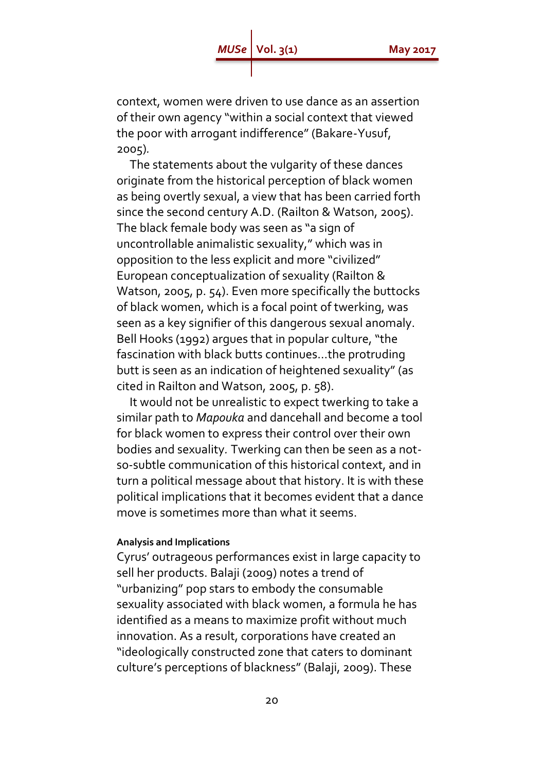context, women were driven to use dance as an assertion of their own agency "within a social context that viewed the poor with arrogant indifference" (Bakare-Yusuf, 2005)*.*

 The statements about the vulgarity of these dances originate from the historical perception of black women as being overtly sexual, a view that has been carried forth since the second century A.D. (Railton & Watson, 2005). The black female body was seen as "a sign of uncontrollable animalistic sexuality," which was in opposition to the less explicit and more "civilized" European conceptualization of sexuality (Railton & Watson, 2005, p. 54). Even more specifically the buttocks of black women, which is a focal point of twerking, was seen as a key signifier of this dangerous sexual anomaly. Bell Hooks (1992) argues that in popular culture, "the fascination with black butts continues…the protruding butt is seen as an indication of heightened sexuality" (as cited in Railton and Watson, 2005, p. 58).

 It would not be unrealistic to expect twerking to take a similar path to *Mapouka* and dancehall and become a tool for black women to express their control over their own bodies and sexuality*.* Twerking can then be seen as a notso-subtle communication of this historical context, and in turn a political message about that history. It is with these political implications that it becomes evident that a dance move is sometimes more than what it seems.

#### **Analysis and Implications**

Cyrus' outrageous performances exist in large capacity to sell her products. Balaji (2009) notes a trend of "urbanizing" pop stars to embody the consumable sexuality associated with black women, a formula he has identified as a means to maximize profit without much innovation. As a result, corporations have created an "ideologically constructed zone that caters to dominant culture's perceptions of blackness" (Balaji, 2009). These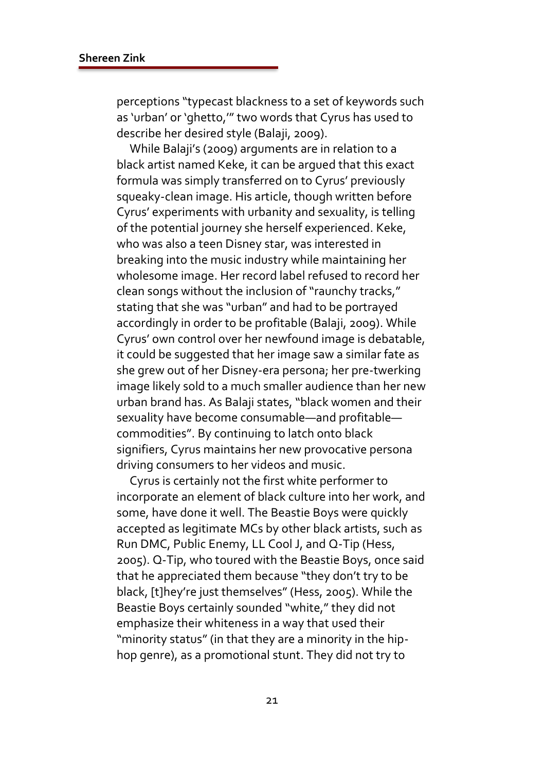perceptions "typecast blackness to a set of keywords such as 'urban' or 'ghetto,'" two words that Cyrus has used to describe her desired style (Balaji, 2009).

 While Balaji's (2009) arguments are in relation to a black artist named Keke, it can be argued that this exact formula was simply transferred on to Cyrus' previously squeaky-clean image. His article, though written before Cyrus' experiments with urbanity and sexuality, is telling of the potential journey she herself experienced. Keke, who was also a teen Disney star, was interested in breaking into the music industry while maintaining her wholesome image. Her record label refused to record her clean songs without the inclusion of "raunchy tracks," stating that she was "urban" and had to be portrayed accordingly in order to be profitable (Balaji, 2009). While Cyrus' own control over her newfound image is debatable, it could be suggested that her image saw a similar fate as she grew out of her Disney-era persona; her pre-twerking image likely sold to a much smaller audience than her new urban brand has. As Balaji states, "black women and their sexuality have become consumable—and profitable commodities". By continuing to latch onto black signifiers, Cyrus maintains her new provocative persona driving consumers to her videos and music.

 Cyrus is certainly not the first white performer to incorporate an element of black culture into her work, and some, have done it well. The Beastie Boys were quickly accepted as legitimate MCs by other black artists, such as Run DMC, Public Enemy, LL Cool J, and Q-Tip (Hess, 2005). Q-Tip, who toured with the Beastie Boys, once said that he appreciated them because "they don't try to be black, [t]hey're just themselves" (Hess, 2005). While the Beastie Boys certainly sounded "white," they did not emphasize their whiteness in a way that used their "minority status" (in that they are a minority in the hiphop genre), as a promotional stunt. They did not try to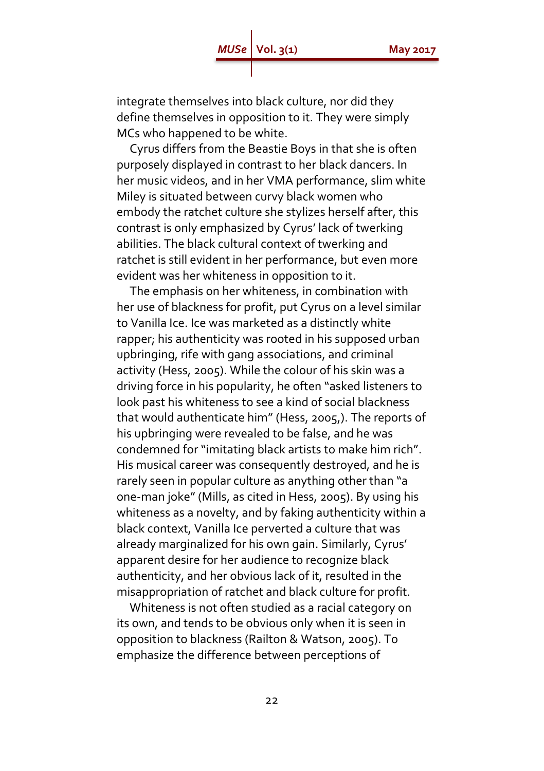# *MUSe* | Vol. 3(1) **May 2017**

integrate themselves into black culture, nor did they define themselves in opposition to it. They were simply MCs who happened to be white.

 Cyrus differs from the Beastie Boys in that she is often purposely displayed in contrast to her black dancers. In her music videos, and in her VMA performance, slim white Miley is situated between curvy black women who embody the ratchet culture she stylizes herself after, this contrast is only emphasized by Cyrus' lack of twerking abilities. The black cultural context of twerking and ratchet is still evident in her performance, but even more evident was her whiteness in opposition to it.

 The emphasis on her whiteness, in combination with her use of blackness for profit, put Cyrus on a level similar to Vanilla Ice. Ice was marketed as a distinctly white rapper; his authenticity was rooted in his supposed urban upbringing, rife with gang associations, and criminal activity (Hess, 2005). While the colour of his skin was a driving force in his popularity, he often "asked listeners to look past his whiteness to see a kind of social blackness that would authenticate him" (Hess, 2005,). The reports of his upbringing were revealed to be false, and he was condemned for "imitating black artists to make him rich". His musical career was consequently destroyed, and he is rarely seen in popular culture as anything other than "a one-man joke" (Mills, as cited in Hess, 2005). By using his whiteness as a novelty, and by faking authenticity within a black context, Vanilla Ice perverted a culture that was already marginalized for his own gain. Similarly, Cyrus' apparent desire for her audience to recognize black authenticity, and her obvious lack of it, resulted in the misappropriation of ratchet and black culture for profit.

 Whiteness is not often studied as a racial category on its own, and tends to be obvious only when it is seen in opposition to blackness (Railton & Watson, 2005). To emphasize the difference between perceptions of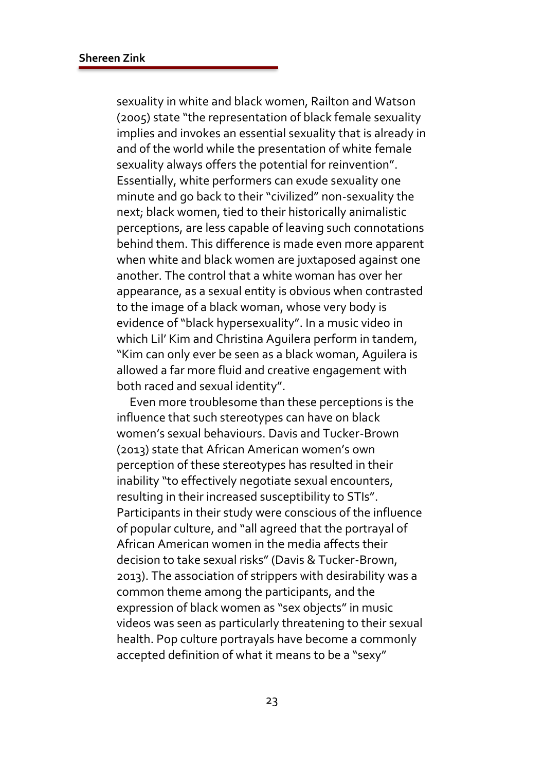sexuality in white and black women, Railton and Watson (2005) state "the representation of black female sexuality implies and invokes an essential sexuality that is already in and of the world while the presentation of white female sexuality always offers the potential for reinvention". Essentially, white performers can exude sexuality one minute and go back to their "civilized" non-sexuality the next; black women, tied to their historically animalistic perceptions, are less capable of leaving such connotations behind them. This difference is made even more apparent when white and black women are juxtaposed against one another. The control that a white woman has over her appearance, as a sexual entity is obvious when contrasted to the image of a black woman, whose very body is evidence of "black hypersexuality". In a music video in which Lil' Kim and Christina Aguilera perform in tandem, "Kim can only ever be seen as a black woman, Aguilera is allowed a far more fluid and creative engagement with both raced and sexual identity".

 Even more troublesome than these perceptions is the influence that such stereotypes can have on black women's sexual behaviours. Davis and Tucker-Brown (2013) state that African American women's own perception of these stereotypes has resulted in their inability "to effectively negotiate sexual encounters, resulting in their increased susceptibility to STIs". Participants in their study were conscious of the influence of popular culture, and "all agreed that the portrayal of African American women in the media affects their decision to take sexual risks" (Davis & Tucker-Brown, 2013). The association of strippers with desirability was a common theme among the participants, and the expression of black women as "sex objects" in music videos was seen as particularly threatening to their sexual health. Pop culture portrayals have become a commonly accepted definition of what it means to be a "sexy"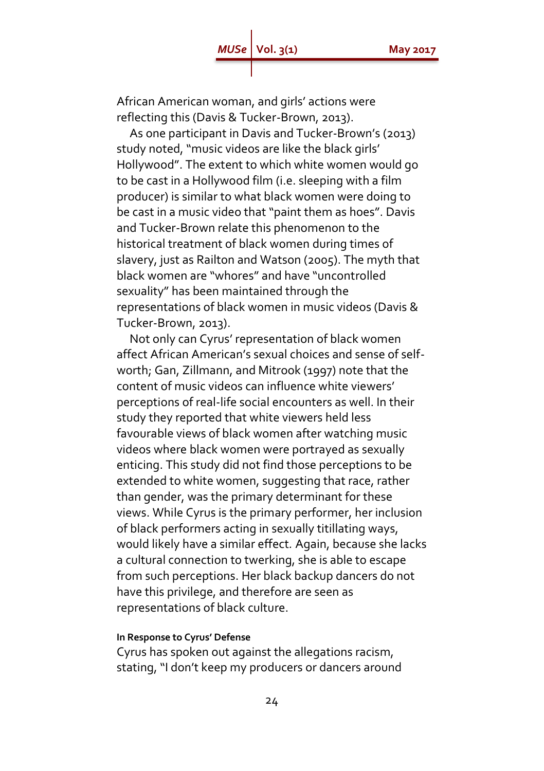African American woman, and girls' actions were reflecting this (Davis & Tucker-Brown, 2013).

 As one participant in Davis and Tucker-Brown's (2013) study noted, "music videos are like the black girls' Hollywood". The extent to which white women would go to be cast in a Hollywood film (i.e. sleeping with a film producer) is similar to what black women were doing to be cast in a music video that "paint them as hoes". Davis and Tucker-Brown relate this phenomenon to the historical treatment of black women during times of slavery, just as Railton and Watson (2005). The myth that black women are "whores" and have "uncontrolled sexuality" has been maintained through the representations of black women in music videos (Davis & Tucker-Brown, 2013).

 Not only can Cyrus' representation of black women affect African American's sexual choices and sense of selfworth; Gan, Zillmann, and Mitrook (1997) note that the content of music videos can influence white viewers' perceptions of real-life social encounters as well. In their study they reported that white viewers held less favourable views of black women after watching music videos where black women were portrayed as sexually enticing. This study did not find those perceptions to be extended to white women, suggesting that race, rather than gender, was the primary determinant for these views. While Cyrus is the primary performer, her inclusion of black performers acting in sexually titillating ways, would likely have a similar effect*.* Again, because she lacks a cultural connection to twerking, she is able to escape from such perceptions. Her black backup dancers do not have this privilege, and therefore are seen as representations of black culture.

### **In Response to Cyrus' Defense**

Cyrus has spoken out against the allegations racism, stating, "I don't keep my producers or dancers around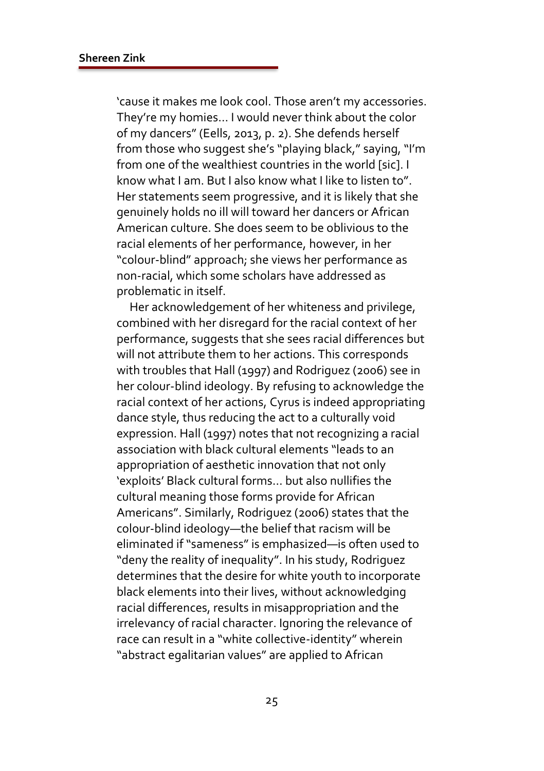'cause it makes me look cool. Those aren't my accessories. They're my homies… I would never think about the color of my dancers" (Eells, 2013, p. 2). She defends herself from those who suggest she's "playing black," saying, "I'm from one of the wealthiest countries in the world [sic]. I know what I am. But I also know what I like to listen to". Her statements seem progressive, and it is likely that she genuinely holds no ill will toward her dancers or African American culture. She does seem to be oblivious to the racial elements of her performance, however, in her "colour-blind" approach; she views her performance as non-racial, which some scholars have addressed as problematic in itself.

 Her acknowledgement of her whiteness and privilege, combined with her disregard for the racial context of her performance, suggests that she sees racial differences but will not attribute them to her actions. This corresponds with troubles that Hall (1997) and Rodriguez (2006) see in her colour-blind ideology. By refusing to acknowledge the racial context of her actions, Cyrus is indeed appropriating dance style, thus reducing the act to a culturally void expression. Hall (1997) notes that not recognizing a racial association with black cultural elements "leads to an appropriation of aesthetic innovation that not only 'exploits' Black cultural forms… but also nullifies the cultural meaning those forms provide for African Americans". Similarly, Rodriguez (2006) states that the colour-blind ideology—the belief that racism will be eliminated if "sameness" is emphasized—is often used to "deny the reality of inequality". In his study, Rodriguez determines that the desire for white youth to incorporate black elements into their lives, without acknowledging racial differences, results in misappropriation and the irrelevancy of racial character. Ignoring the relevance of race can result in a "white collective-identity" wherein "abstract egalitarian values" are applied to African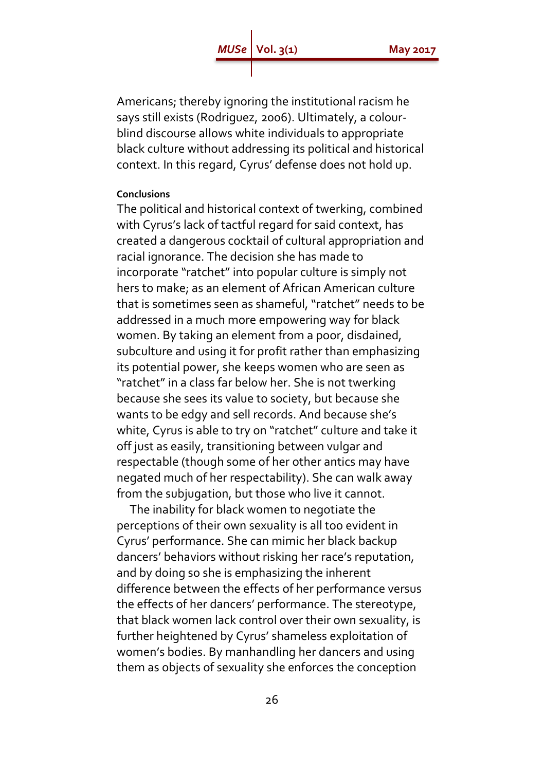Americans; thereby ignoring the institutional racism he says still exists (Rodriguez, 2006). Ultimately, a colourblind discourse allows white individuals to appropriate black culture without addressing its political and historical context. In this regard, Cyrus' defense does not hold up.

#### **Conclusions**

The political and historical context of twerking, combined with Cyrus's lack of tactful regard for said context, has created a dangerous cocktail of cultural appropriation and racial ignorance. The decision she has made to incorporate "ratchet" into popular culture is simply not hers to make; as an element of African American culture that is sometimes seen as shameful, "ratchet" needs to be addressed in a much more empowering way for black women. By taking an element from a poor, disdained, subculture and using it for profit rather than emphasizing its potential power, she keeps women who are seen as "ratchet" in a class far below her. She is not twerking because she sees its value to society, but because she wants to be edgy and sell records. And because she's white, Cyrus is able to try on "ratchet" culture and take it off just as easily, transitioning between vulgar and respectable (though some of her other antics may have negated much of her respectability). She can walk away from the subjugation, but those who live it cannot.

 The inability for black women to negotiate the perceptions of their own sexuality is all too evident in Cyrus' performance. She can mimic her black backup dancers' behaviors without risking her race's reputation, and by doing so she is emphasizing the inherent difference between the effects of her performance versus the effects of her dancers' performance. The stereotype, that black women lack control over their own sexuality, is further heightened by Cyrus' shameless exploitation of women's bodies. By manhandling her dancers and using them as objects of sexuality she enforces the conception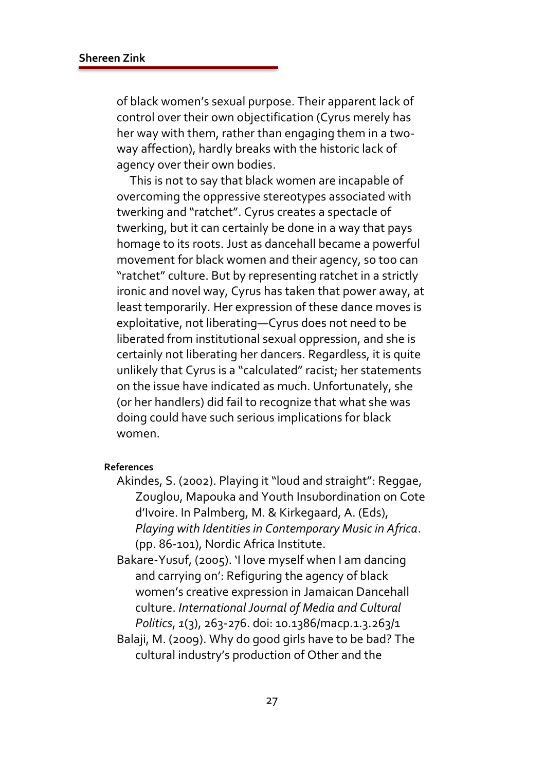of black women's sexual purpose. Their apparent lack of control over their own objectification (Cyrus merely has her way with them, rather than engaging them in a twoway affection), hardly breaks with the historic lack of agency over their own bodies.

 This is not to say that black women are incapable of overcoming the oppressive stereotypes associated with twerking and "ratchet". Cyrus creates a spectacle of twerking, but it can certainly be done in a way that pays homage to its roots. Just as dancehall became a powerful movement for black women and their agency, so too can "ratchet" culture. But by representing ratchet in a strictly ironic and novel way, Cyrus has taken that power away, at least temporarily. Her expression of these dance moves is exploitative, not liberating—Cyrus does not need to be liberated from institutional sexual oppression, and she is certainly not liberating her dancers. Regardless, it is quite unlikely that Cyrus is a "calculated" racist; her statements on the issue have indicated as much. Unfortunately, she (or her handlers) did fail to recognize that what she was doing could have such serious implications for black women.

### **References**

- Akindes, S. (2002). Playing it "loud and straight": Reggae, Zouglou, Mapouka and Youth Insubordination on Cote d'Ivoire. In Palmberg, M. & Kirkegaard, A. (Eds), *Playing with Identities in Contemporary Music in Africa*. (pp. 86-101), Nordic Africa Institute.
- Bakare-Yusuf, (2005). 'I love myself when I am dancing and carrying on': Refiguring the agency of black women's creative expression in Jamaican Dancehall culture. *International Journal of Media and Cultural Politics*, *1*(3), 263-276. doi: 10.1386/macp.1.3.263/1
- Balaji, M. (2009). Why do good girls have to be bad? The cultural industry's production of Other and the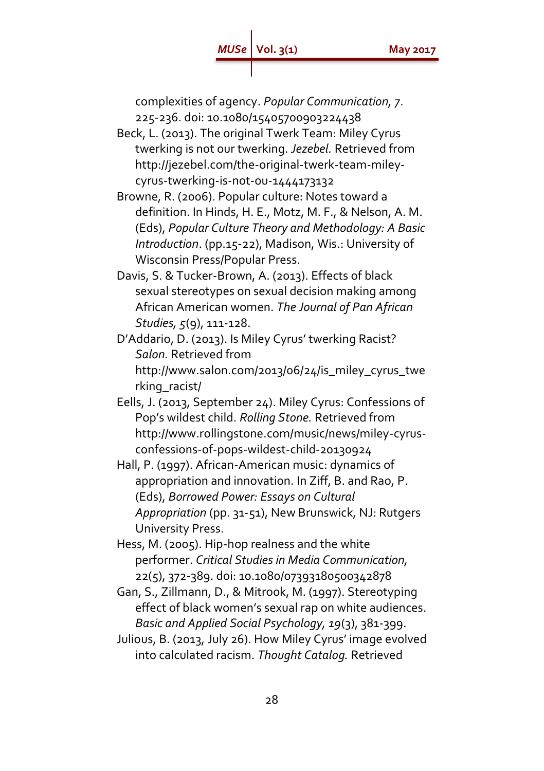complexities of agency. *Popular Communication, 7*. 225-236. doi: 10.1080/15405700903224438

- Beck, L. (2013). The original Twerk Team: Miley Cyrus twerking is not our twerking. *Jezebel.* Retrieved from http://jezebel.com/the-original-twerk-team-mileycyrus-twerking-is-not-ou-1444173132
- Browne, R. (2006). Popular culture: Notes toward a definition. In Hinds, H. E., Motz, M. F., & Nelson, A. M. (Eds), *Popular Culture Theory and Methodology: A Basic Introduction*. (pp.15-22), Madison, Wis.: University of Wisconsin Press/Popular Press.
- Davis, S. & Tucker-Brown, A. (2013). Effects of black sexual stereotypes on sexual decision making among African American women. *The Journal of Pan African Studies, 5*(9), 111-128.
- D'Addario, D. (2013). Is Miley Cyrus' twerking Racist? *Salon.* Retrieved from http://www.salon.com/2013/06/24/is\_miley\_cyrus\_twe rking\_racist/
- Eells, J. (2013, September 24). Miley Cyrus: Confessions of Pop's wildest child. *Rolling Stone.* Retrieved from http://www.rollingstone.com/music/news/miley-cyrusconfessions-of-pops-wildest-child-20130924
- Hall, P. (1997). African-American music: dynamics of appropriation and innovation. In Ziff, B. and Rao, P. (Eds), *Borrowed Power: Essays on Cultural Appropriation* (pp. 31-51), New Brunswick, NJ: Rutgers University Press.
- Hess, M. (2005). Hip-hop realness and the white performer. *Critical Studies in Media Communication,*  22(5), 372-389. doi: 10.1080/07393180500342878
- Gan, S., Zillmann, D., & Mitrook, M. (1997). Stereotyping effect of black women's sexual rap on white audiences. *Basic and Applied Social Psychology, 19*(3), 381-399.
- Julious, B. (2013, July 26). How Miley Cyrus' image evolved into calculated racism. *Thought Catalog.* Retrieved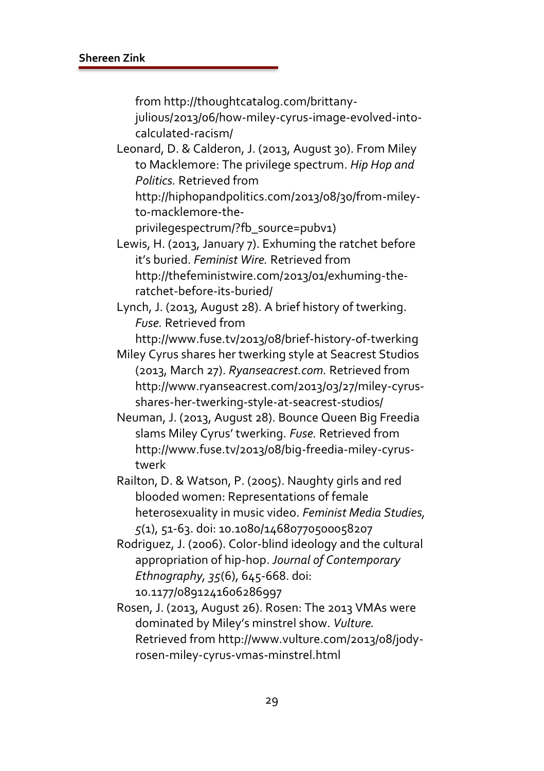from http://thoughtcatalog.com/brittany-

julious/2013/06/how-miley-cyrus-image-evolved-intocalculated-racism/

Leonard, D. & Calderon, J. (2013, August 30). From Miley to Macklemore: The privilege spectrum. *Hip Hop and Politics.* Retrieved from

http://hiphopandpolitics.com/2013/08/30/from-mileyto-macklemore-the-

privilegespectrum/?fb\_source=pubv1)

Lewis, H. (2013, January 7). Exhuming the ratchet before it's buried. *Feminist Wire.* Retrieved from http://thefeministwire.com/2013/01/exhuming-theratchet-before-its-buried/

Lynch, J. (2013, August 28). A brief history of twerking. *Fuse.* Retrieved from

http://www.fuse.tv/2013/08/brief-history-of-twerking

Miley Cyrus shares her twerking style at Seacrest Studios (2013, March 27). *Ryanseacrest.com.* Retrieved from http://www.ryanseacrest.com/2013/03/27/miley-cyrusshares-her-twerking-style-at-seacrest-studios/

Neuman, J. (2013, August 28). Bounce Queen Big Freedia slams Miley Cyrus' twerking. *Fuse.* Retrieved from http://www.fuse.tv/2013/08/big-freedia-miley-cyrustwerk

Railton, D. & Watson, P. (2005). Naughty girls and red blooded women: Representations of female heterosexuality in music video. *Feminist Media Studies, 5*(1), 51-63. doi: 10.1080/14680770500058207

Rodriguez, J. (2006). Color-blind ideology and the cultural appropriation of hip-hop. *Journal of Contemporary Ethnography, 35*(6), 645-668. doi: 10.1177/0891241606286997

Rosen, J. (2013, August 26). Rosen: The 2013 VMAs were dominated by Miley's minstrel show. *Vulture.*  Retrieved from http://www.vulture.com/2013/08/jodyrosen-miley-cyrus-vmas-minstrel.html